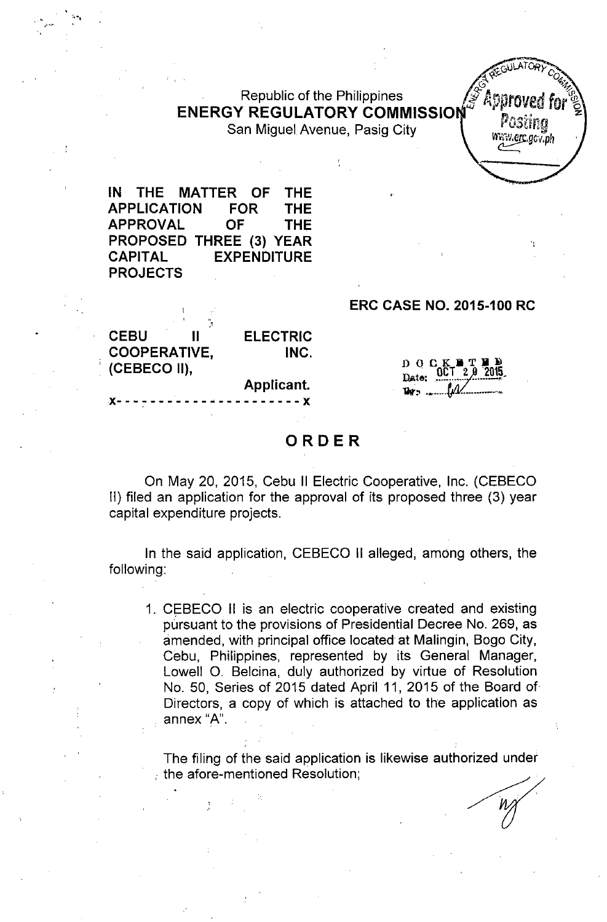### Republic of the Philippines ENERGY REGULATORY COMMISSIO San Miguel Avenue, Pasig City

IN THE MATTER OF THE APPLICATION FOR THE APPROVAL OF THE PROPOSED THREE (3) YEAR CAPITAL EXPENDITURE PROJECTS

"'""

, :''',

#### ERC CASE NO. 2015-100 RC

POStina Www.erc.acv.nh

| <b>CEBU</b>         | П | <b>ELECTRIC</b> |
|---------------------|---|-----------------|
| <b>COOPERATIVE,</b> |   | INC.            |
| (CEBECO II),        |   |                 |
|                     |   | Applicant.      |

x---~------\_.\_---------x

 $D$  O C K

## ORDER

On May 20, 2015, Cebu II Electric Cooperative, Inc. (CEBECO II) filed an application for the approval of its proposed three (3) year capital expenditure projects.

In the said application, CEBECO II alleged, among others, the following:

1. CEBECO II is an electric cooperative created and existing pursuant to the provisions of Presidential Decree No. 269, as amended, with principal office located at Malingin, Bogo City, Cebu, Philippines, represented by its General Manager, Lowell 0, Belcina, duly authorized by virtue of Resolution No. 50, Series of 2015 dated April 11, 2015 of the Board of Directors, a copy of which is attached to the application as , annex "A".

The filing of the said application is likewise authorized under , the afore-mentioned Resolution;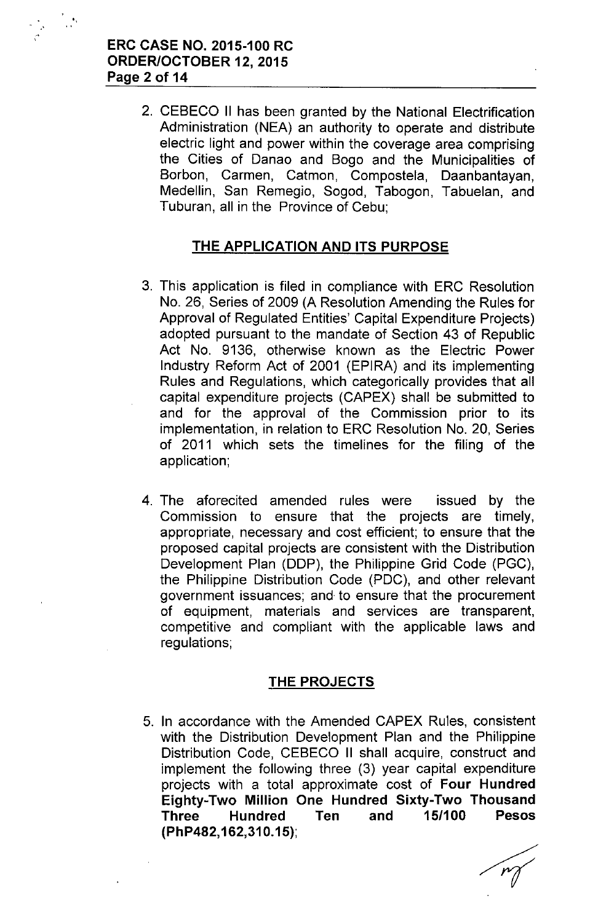"

2. CEBECO II has been granted by the National Electrification Administration (NEA) an authority to operate and distribute electric light and power within the coverage area comprising the Cities of Danao and Bogo and the Municipalities of Borbon, Carmen, Catmon, Compostela, Daanbantayan, Medellin, San Remegio, Sogod, Tabogon, Tabuelan, and Tuburan, all in the Province of Cebu;

## **THE APPLICATION AND ITS PURPOSE**

- 3. This application is filed in compliance with ERC Resolution No. 26, Series of 2009 (A Resolution Amending the Rules for Approval of Regulated Entities' Capital Expenditure Projects) adopted pursuant to the mandate of Section 43 of Republic Act No. 9136, otherwise known as the Electric Power Industry Reform Act of 2001 (EPIRA) and its implementing Rules and Regulations, which categorically provides that all capital expenditure projects (CAPEX) shall be submitted to and for the approval of the Commission prior to its implementation, in relation to ERC Resolution No. 20, Series of 2011 which sets the timelines for the filing of the application;
- 4. The aforecited amended rules were issued by the Commission to ensure that the projects are timely, appropriate, necessary and cost efficient; to ensure that the proposed capital projects are consistent with the Distribution Development Plan (DDP), the Philippine Grid Code (PGC), the Philippine Distribution Code (PDC), and other relevant government issuances; and to ensure that the procurement of equipment, materials and services are transparent, competitive and compliant with the applicable laws and regulations;

## **THE PROJECTS**

5. In accordance with the Amended CAPEX Rules, consistent with the Distribution Development Plan and the Philippine Distribution Code, CEBECO II shall acquire, construct and implement the following three (3) year capital expenditure projects with a total approximate cost of **Four Hundred Eighty-Two Million One Hundred Sixty-Two Thousand Three Hundred Ten and 15/100 Pesos (PhP482, 162,310.15);**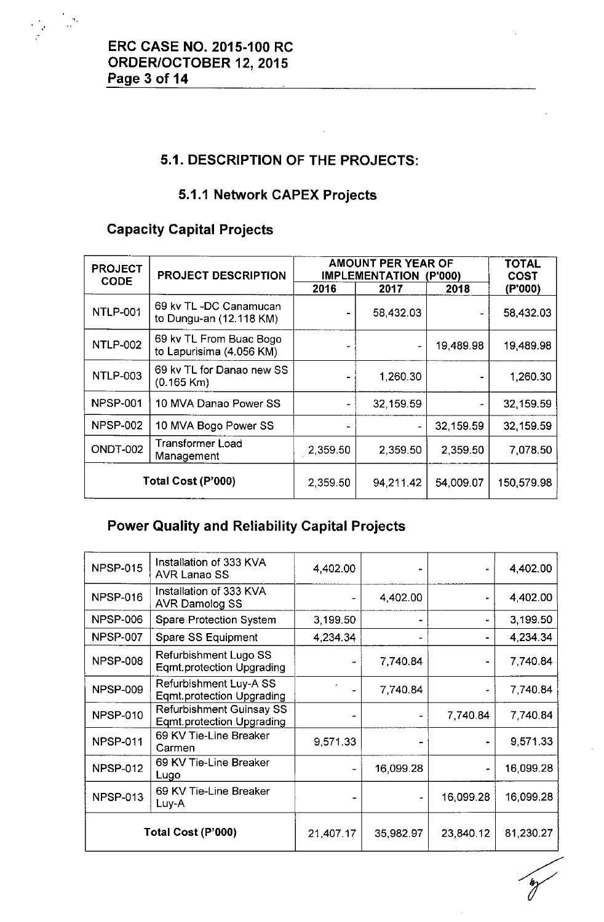

# **5.1. DESCRIPTION OF THE PROJECTS:**

## **5.1.1 Network CAPEX Projects**

# **Capacity Capital Projects**

| <b>PROJECT</b><br><b>CODE</b> | <b>PROJECT DESCRIPTION</b>                          | AMOUNT PER YEAR OF<br><b>IMPLEMENTATION</b> | <b>TOTAL</b><br><b>COST</b> |           |            |
|-------------------------------|-----------------------------------------------------|---------------------------------------------|-----------------------------|-----------|------------|
|                               |                                                     | 2016                                        | 2017                        | 2018      | (P'000)    |
| <b>NTLP-001</b>               | 69 kv TL -DC Canamucan<br>to Dungu-an (12.118 KM)   |                                             | 58,432.03                   |           | 58,432.03  |
| <b>NTLP-002</b>               | 69 kv TL From Buac Bogo<br>to Lapurisima (4.056 KM) |                                             |                             | 19,489.98 | 19,489.98  |
| <b>NTLP-003</b>               | 69 kv TL for Danao new SS<br>$(0.165$ Km)           |                                             | 1,260.30                    |           | 1,260.30   |
| <b>NPSP-001</b>               | 10 MVA Danao Power SS                               |                                             | 32,159.59                   |           | 32,159.59  |
| <b>NPSP-002</b>               | 10 MVA Bogo Power SS                                |                                             |                             | 32,159.59 | 32,159.59  |
| <b>ONDT-002</b>               | <b>Transformer Load</b><br>Management               | 2,359.50                                    | 2,359.50                    | 2,359.50  | 7,078.50   |
| Total Cost (P'000)            |                                                     | 2,359.50                                    | 94,211.42                   | 54,009.07 | 150,579.98 |

# **Power Quality and Reliability Capital Projects**

| <b>NPSP-015</b> | Installation of 333 KVA<br><b>AVR Lanao SS</b>                      | 4,402.00                 |           |           | 4,402.00  |
|-----------------|---------------------------------------------------------------------|--------------------------|-----------|-----------|-----------|
| <b>NPSP-016</b> | Installation of 333 KVA<br><b>AVR Damolog SS</b>                    |                          | 4,402.00  |           | 4,402.00  |
| <b>NPSP-006</b> | <b>Spare Protection System</b>                                      | 3,199.50                 |           |           | 3,199.50  |
| <b>NPSP-007</b> | Spare SS Equipment                                                  | 4,234.34                 |           |           | 4,234.34  |
| <b>NPSP-008</b> | Refurbishment Lugo SS<br><b>Eqmt.protection Upgrading</b>           | w.                       | 7,740.84  |           | 7,740.84  |
| <b>NPSP-009</b> | Refurbishment Luy-A SS<br><b>Egmt.protection Upgrading</b>          |                          | 7,740.84  | ۰         | 7,740.84  |
| <b>NPSP-010</b> | <b>Refurbishment Guinsay SS</b><br><b>Eqmt.protection Upgrading</b> |                          |           | 7,740.84  | 7,740.84  |
| <b>NPSP-011</b> | 69 KV Tie-Line Breaker<br>Carmen                                    | 9,571.33                 |           |           | 9,571.33  |
| <b>NPSP-012</b> | 69 KV Tie-Line Breaker<br>Lugo                                      | $\blacksquare$           | 16,099.28 | $\bullet$ | 16,099.28 |
| <b>NPSP-013</b> | 69 KV Tie-Line Breaker<br>Luy-A                                     | $\overline{\phantom{0}}$ |           | 16,099.28 | 16,099.28 |
|                 | Total Cost (P'000)                                                  | 21,407.17                | 35,982.97 | 23,840.12 | 81,230.27 |

 $\gamma$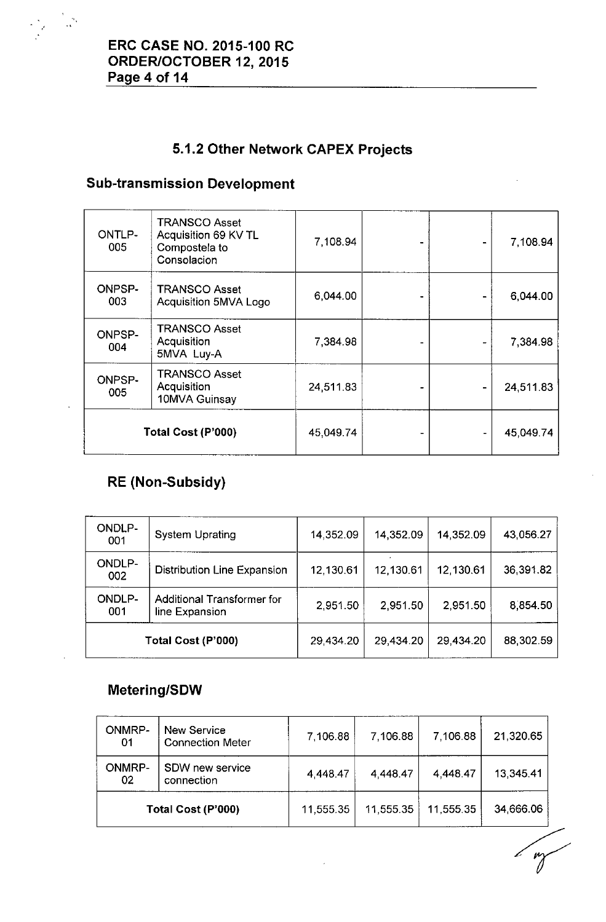

# **5.1.2 Other Network CAPEX Projects**

# **Sub-transmission Development**

| ONTLP-<br>005        | <b>TRANSCO Asset</b><br>Acquisition 69 KV TL<br>Compostela to<br>Consolacion | 7,108.94  |  | 7,108.94  |
|----------------------|------------------------------------------------------------------------------|-----------|--|-----------|
| <b>ONPSP-</b><br>003 | <b>TRANSCO Asset</b><br>Acquisition 5MVA Logo                                | 6,044.00  |  | 6,044.00  |
| <b>ONPSP-</b><br>004 | <b>TRANSCO Asset</b><br>Acquisition<br>5MVA Luy-A                            | 7,384.98  |  | 7,384.98  |
| <b>ONPSP-</b><br>005 | <b>TRANSCO Asset</b><br>Acquisition<br>10MVA Guinsay                         | 24,511.83 |  | 24,511.83 |
|                      | Total Cost (P'000)                                                           | 45,049.74 |  | 45,049.74 |

# **RE (Non-Subsidy)**

| ONDLP-<br>001                                                               | <b>System Uprating</b>             | 14,352.09 | 14,352.09 | 14,352.09 | 43,056.27 |
|-----------------------------------------------------------------------------|------------------------------------|-----------|-----------|-----------|-----------|
| <b>ONDLP-</b><br>002                                                        | <b>Distribution Line Expansion</b> | 12,130.61 | 12,130.61 | 12,130.61 | 36,391.82 |
| <b>ONDLP-</b><br><b>Additional Transformer for</b><br>001<br>line Expansion |                                    | 2,951.50  | 2,951.50  | 2,951.50  | 8,854.50  |
| Total Cost (P'000)                                                          |                                    | 29,434.20 | 29 434.20 | 29,434.20 | 88,302.59 |

## **Metering/SOW**

| <b>ONMRP-</b><br>01 | <b>New Service</b><br><b>Connection Meter</b> | 7,106.88  | 7,106.88  | 7,106.88  | 21,320.65 |
|---------------------|-----------------------------------------------|-----------|-----------|-----------|-----------|
| <b>ONMRP-</b><br>02 | SDW new service<br>connection                 | 4,448.47  | 4,448.47  | 4,448.47  | 13,345.41 |
| Total Cost (P'000)  |                                               | 11,555.35 | 11,555.35 | 11,555.35 | 34,666.06 |
|                     |                                               |           |           |           |           |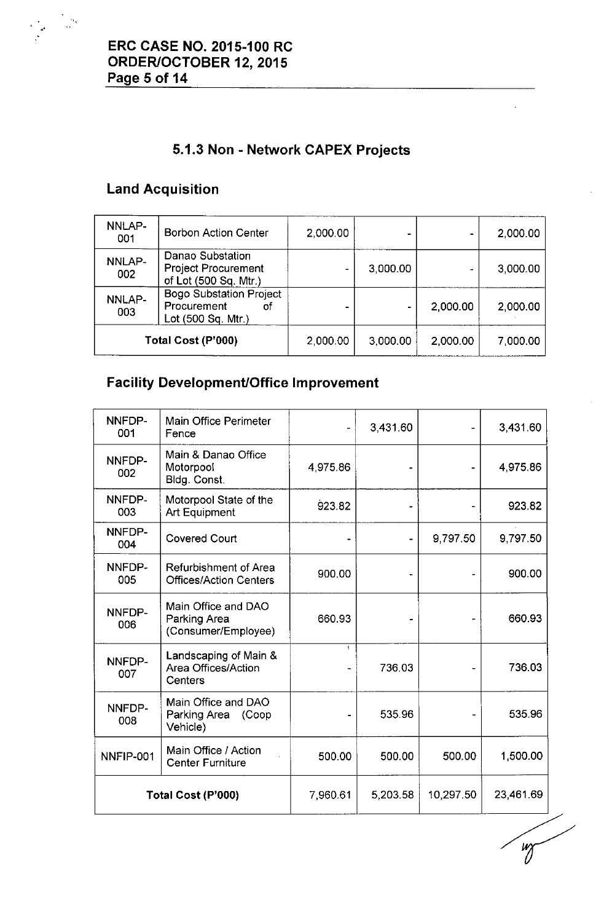# **5.1.3 Non - Network CAPEX Projects**

# **Land Acquisition**

.'

| NNLAP-<br>001 | <b>Borbon Action Center</b>                                               | 2,000.00 |          |          | 2,000.00 |
|---------------|---------------------------------------------------------------------------|----------|----------|----------|----------|
| NNLAP-<br>002 | Danao Substation<br><b>Project Procurement</b><br>of Lot (500 Sq. Mtr.)   |          | 3,000.00 |          | 3,000.00 |
| NNLAP-<br>003 | <b>Bogo Substation Project</b><br>Procurement<br>οf<br>Lot (500 Sq. Mtr.) |          |          | 2,000.00 | 2,000.00 |
|               | Total Cost (P'000)                                                        | 2,000.00 | 3,000.00 | 2,000.00 | 7,000.00 |

# **Facility Development/Office Improvement**

| NNFDP-<br>001      | <b>Main Office Perimeter</b><br>Fence                      |                | 3,431.60 |           | 3,431.60  |
|--------------------|------------------------------------------------------------|----------------|----------|-----------|-----------|
| NNFDP-<br>002      | Main & Danao Office<br>Motorpool<br>Bldg. Const.           | 4 975.86       |          |           | 4,975.86  |
| NNFDP-<br>003      | Motorpool State of the<br>Art Equipment                    | 923.82         |          |           | 923.82    |
| NNFDP-<br>004      | <b>Covered Court</b>                                       |                |          | 9,797.50  | 9,797.50  |
| NNFDP-<br>005      | Refurbishment of Area<br><b>Offices/Action Centers</b>     | 900.00         |          |           | 900.00    |
| NNFDP-<br>006      | Main Office and DAO<br>Parking Area<br>(Consumer/Employee) | 660.93         |          |           | 660.93    |
| NNFDP-<br>007      | Landscaping of Main &<br>Area Offices/Action<br>Centers    | $\overline{1}$ | 736.03   |           | 736.03    |
| NNFDP-<br>008      | Main Office and DAO<br>Parking Area (Coop<br>Vehicle)      |                | 535.96   |           | 535.96    |
| NNFIP-001          | Main Office / Action<br><b>Center Furniture</b>            | 500.00         | 500.00   | 500.00    | 1,500.00  |
| Total Cost (P'000) |                                                            | 7,960.61       | 5,203.58 | 10,297.50 | 23,461.69 |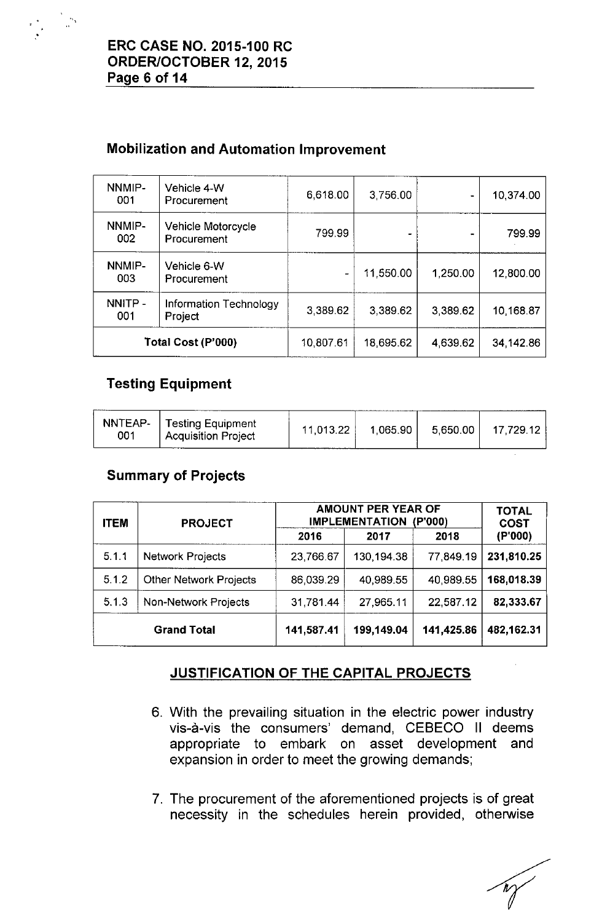# Mobilization and Automation Improvement

| NNMIP-<br>001      | Vehicle 4-W<br>Procurement        | 6,618.00  | 3,756.00  | $\bullet$ | 10.374.00 |
|--------------------|-----------------------------------|-----------|-----------|-----------|-----------|
| NNMIP-<br>002      | Vehicle Motorcycle<br>Procurement | 799.99    |           |           | 799.99    |
| NNMIP-<br>003      | Vehicle 6-W<br>Procurement        |           | 11,550.00 | 1,250.00  | 12,800.00 |
| NNITP-<br>001      | Information Technology<br>Project | 3,389.62  | 3,389.62  | 3,389.62  | 10,168.87 |
| Total Cost (P'000) |                                   | 10,807.61 | 18,695.62 | 4,639.62  | 34,142.86 |

## Testing Equipment

| 001 | NNTEAP-   Testing Equipment<br><b>Acquisition Project</b> | 11,013.22 | 1.065.90 | 5,650.00 | . 17,729.12 |
|-----|-----------------------------------------------------------|-----------|----------|----------|-------------|
|-----|-----------------------------------------------------------|-----------|----------|----------|-------------|

## Summary of Projects

| <b>ITEM</b> | <b>PROJECT</b>                |            | <b>AMOUNT PER YEAR OF</b><br><b>IMPLEMENTATION</b><br>(P'000) |            |            |  |
|-------------|-------------------------------|------------|---------------------------------------------------------------|------------|------------|--|
|             |                               | 2016       | 2017                                                          | 2018       | (P'000)    |  |
| 5.1.1       | <b>Network Projects</b>       | 23,766.67  | 130,194.38                                                    | 77,849.19  | 231,810.25 |  |
| 5.1.2       | <b>Other Network Projects</b> | 86,039.29  | 40.989.55                                                     | 40,989.55  | 168,018.39 |  |
| 5.1.3       | Non-Network Projects          | 31,781.44  | 27,965.11                                                     | 22,587.12  | 82,333.67  |  |
|             | <b>Grand Total</b>            | 141,587.41 | 199,149.04                                                    | 141,425.86 | 482,162.31 |  |

# JUSTIFICATION OF THE CAPITAL PROJECTS

- 6. With the prevailing situation in the electric power industry vis-a-vis the consumers' demand, CEBECO II deems appropriate to embark on asset development and expansion in order to meet the growing demands;
- 7. The procurement of the aforementioned projects is of great necessity in the schedules herein provided, otherwise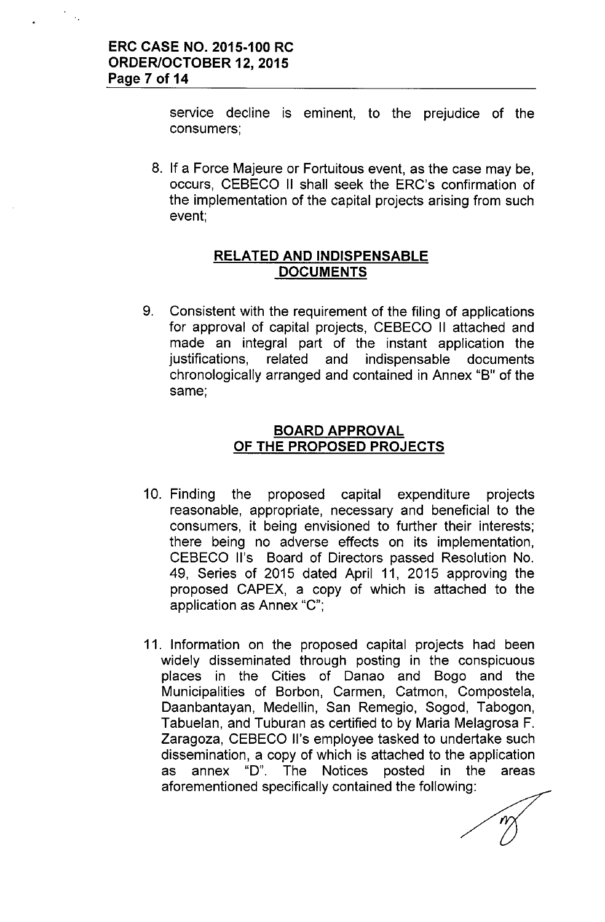service decline is eminent, to the prejudice of the consumers;

8. If a Force Majeure or Fortuitous event, as the case may be, occurs, CEBECO II shall seek the ERC's confirmation of the implementation of the capital projects arising from such event;

### **RELATED AND INDISPENSABLE DOCUMENTS**

9. Consistent with the requirement of the filing of applications for approval of capital projects, CEBECO II attached and made an integral part of the instant application the justifications, related and indispensable documents chronologically arranged and contained in Annex "B" of the same;

### **BOARD APPROVAL OF THE PROPOSED PROJECTS**

- 1O. Finding the proposed capital expenditure projects reasonable, appropriate, necessary and beneficial to the consumers, it being envisioned to further their interests; there being no adverse effects on its implementation, CEBECO II's Board of Directors passed Resolution No. 49, Series of 2015 dated April 11, 2015 approving the proposed CAPEX, a copy of which is attached to the application as Annex "C";
- 11. Information on the proposed capital projects had been widely disseminated through posting in the conspicuous places in the Cities of Danao and Bogo and the Municipalities of Borbon, Carmen, Catmon, Compostela, Daanbantayan, Medellin, San Remegio, Sogod, Tabogon, Tabuelan, and Tuburan as certified to by Maria Melagrosa F. Zaragoza, CEBECO II's employee tasked to undertake such dissemination, a copy of which is attached to the application as annex "0". The Notices posted in the areas aforementioned specifically contained the following: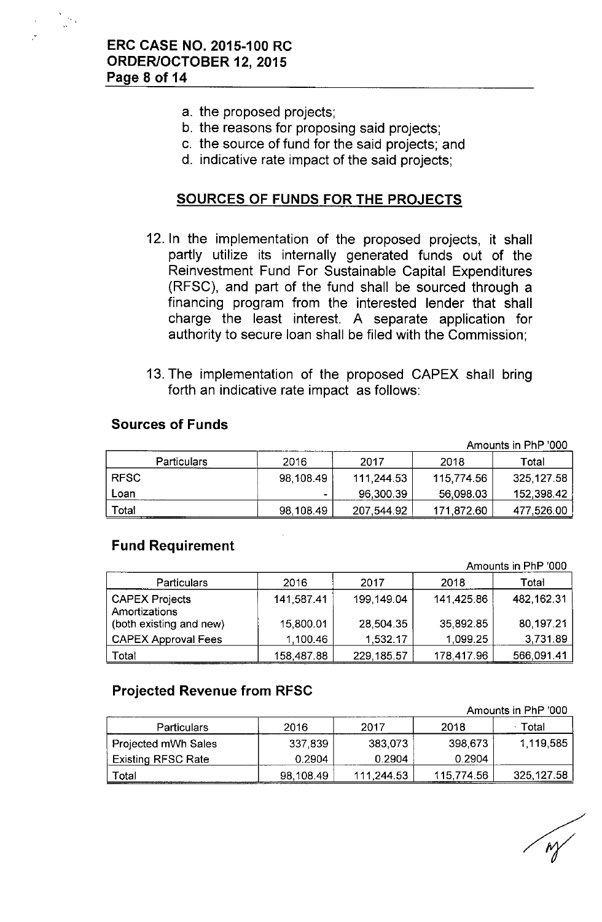- a. the proposed projects;
- b. the reasons for proposing said projects;
- c. the source of fund for the said projects; and
- d. indicative rate impact of the said projects;

### **SOURCES OF FUNDS FOR THE PROJECTS**

- 12. In the implementation of the proposed projects, it shall partly utilize its internally generated funds out of the Reinvestment Fund For Sustainable Capital Expenditures (RFSC), and part of the fund shall be sourced through a financing program from the interested lender that shall charge the least interest. A separate application for authority to secure loan shall be filed with the Commission;
- 13. The implementation of the proposed CAPEX shall bring forth an indicative rate impact as follows:

#### **Sources of Funds**

| Amounts in PhP '000 |           |            |            |            |  |  |
|---------------------|-----------|------------|------------|------------|--|--|
| <b>Particulars</b>  | 2016      | 2017       | 2018       | Total      |  |  |
| <b>RFSC</b>         | 98,108.49 | 111,244.53 | 115,774.56 | 325,127.58 |  |  |
| Loan                |           | 96,300.39  | 56.098.03  | 152,398.42 |  |  |
| Total               | 98,108.49 | 207,544.92 | 171 872.60 | 477,526.00 |  |  |

### **Fund Requirement**

Amounts in PhP '000

| <b>Particulars</b>                     | 2016       | 2017       | 2018       | Total        |
|----------------------------------------|------------|------------|------------|--------------|
| <b>CAPEX Projects</b><br>Amortizations | 141,587.41 | 199,149.04 | 141,425.86 | 482, 162. 31 |
| (both existing and new)                | 15,800.01  | 28,504.35  | 35,892.85  | 80,197.21    |
| <b>CAPEX Approval Fees</b>             | 1.100.46   | 1,532.17   | 1,099.25   | 3.731.89     |
| Total                                  | 158,487.88 | 229.185.57 | 178,417.96 | 566,091.41   |

## **Projected Revenue from RFSC**

|                           |           |            | Amounts in PhP '000 |            |
|---------------------------|-----------|------------|---------------------|------------|
| <b>Particulars</b>        | 2016      | 2017       | 2018                | Total      |
| Projected mWh Sales       | 337,839   | 383,073    | 398,673             | 1,119,585  |
| <b>Existing RFSC Rate</b> | 0.2904    | 0.2904     | 0.2904              |            |
| Total                     | 98,108.49 | 111.244.53 | 115,774.56          | 325,127.58 |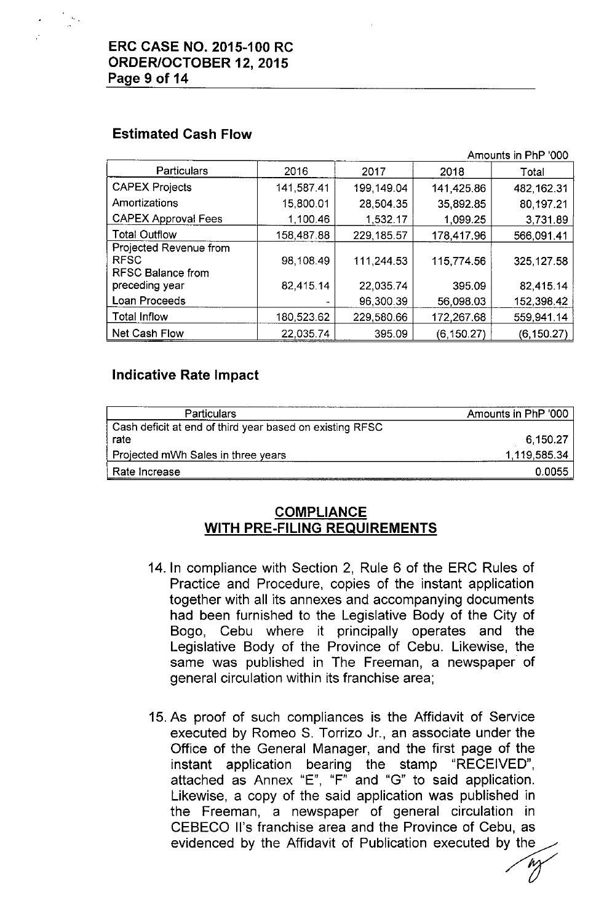

## **Estimated Cash Flow**

|                            |            |             | Amounts in PhP '000 |             |  |
|----------------------------|------------|-------------|---------------------|-------------|--|
| Particulars                | 2016       | 2017        | 2018                | Total       |  |
| <b>CAPEX Projects</b>      | 141,587.41 | 199,149.04  | 141.425.86          | 482, 162.31 |  |
| Amortizations              | 15,800.01  | 28,504.35   | 35,892.85           | 80,197.21   |  |
| <b>CAPEX Approval Fees</b> | 1,100.46   | 1,532.17    | 1,099.25            | 3,731.89    |  |
| <b>Total Outflow</b>       | 158,487.88 | 229, 185.57 | 178,417.96          | 566,091.41  |  |
| Projected Revenue from     |            |             |                     |             |  |
| <b>RFSC</b>                | 98,108.49  | 111,244.53  | 115,774.56          | 325, 127.58 |  |
| <b>RFSC Balance from</b>   |            |             |                     |             |  |
| preceding year             | 82,415.14  | 22,035.74   | 395.09              | 82,415.14   |  |
| Loan Proceeds              |            | 96,300.39   | 56,098.03           | 152,398.42  |  |
| <b>Total Inflow</b>        | 180,523.62 | 229,580.66  | 172,267.68          | 559,941.14  |  |
| Net Cash Flow              | 22,035.74  | 395.09      | (6,150.27)          | (6, 150.27) |  |

## **Indicative Rate Impact**

| <b>Particulars</b>                                       | Amounts in PhP '000 |
|----------------------------------------------------------|---------------------|
| Cash deficit at end of third year based on existing RFSC |                     |
| rate                                                     | 6,150.27            |
| Projected mWh Sales in three years                       | 1.119,585.34        |
| Rate Increase                                            | 0.0055              |

## **COMPLIANCE WITH PRE-FILING REQUIREMENTS**

- 14. In compliance with Section 2, Rule 6 of the ERC Rules of Practice and Procedure, copies of the instant application together with all its annexes and accompanying documents had been furnished to the Legislative Body of the City of Bogo, Cebu where it principally operates and the Legislative Body of the Province of Cebu. Likewise, the same was published in The Freeman, a newspaper of general circulation within its franchise area;
- 15.As proof of such compliances is the Affidavit of Service executed by Romeo S. Torrizo Jr., an associate under the Office of the General Manager, and the first page of the instant application bearing the stamp "RECEIVED", attached as Annex "E", "F" and "G" to said application. Likewise, a copy of the said application was published in the Freeman, a newspaper of general circulation in CEBECO II's franchise area and the Province of Cebu, as evidenced by the Affidavit of Publication executed by the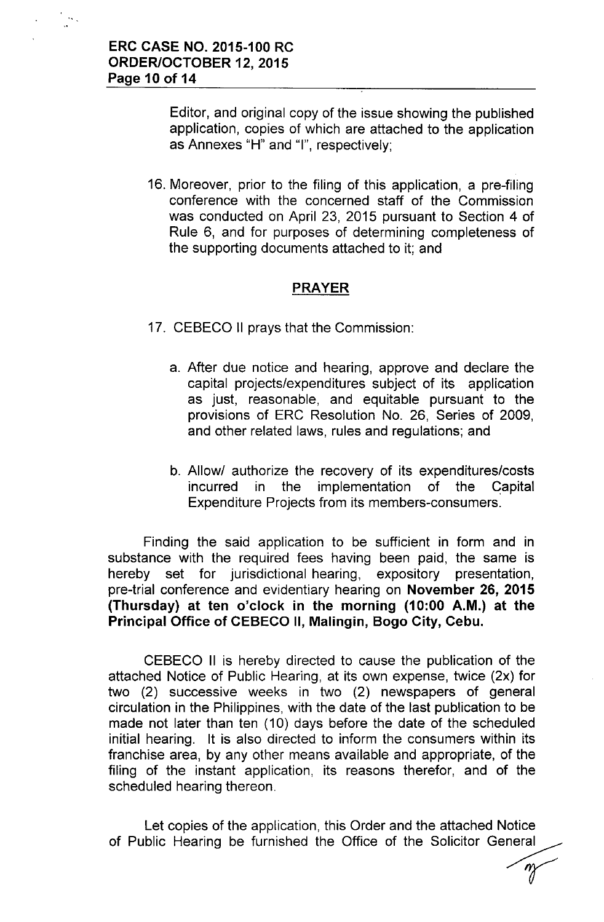Editor, and original copy of the issue showing the published application, copies of which are attached to the application as Annexes "H" and "I", respectively;

16. Moreover, prior to the filing of this application, a pre-filing conference with the concerned staff of the Commission was conducted on April 23, 2015 pursuant to Section 4 of Rule 6, and for purposes of determining completeness of the supporting documents attached to it; and

### PRAYER

- 17. CEBECO II prays that the Commission:
	- a. After due notice and hearing, approve and declare the capital projects/expenditures subject of its application as just, reasonable, and equitable pursuant to the provisions of ERC Resolution No. 26, Series of 2009, and other related laws, rules and regulations; and
	- b. Allow/ authorize the recovery of its expenditures/costs incurred in the implementation of the Capital Expenditure Projects from its members-consumers.

Finding the said application to be sufficient in form and in substance with the required fees having been paid, the same is hereby set for jurisdictional hearing, expository presentation, pre-trial conference and evidentiary hearing on November 26, 2015 (Thursday) at ten o'clock in the morning (10:00 A.M.) at the Principal Office of CEBECO II, Malingin, Bogo City, Cebu.

CEBECO II is hereby directed to cause the publication of the attached Notice of Public Hearing, at its own expense, twice (2x) for two (2) successive weeks in two (2) newspapers of general circulation in the Philippines, with the date of the last publication to be made not later than ten (10) days before the date of the scheduled initial hearing. It is also directed to inform the consumers within its franchise area, by any other means available and appropriate, of the filing of the instant application, its reasons therefor, and of the scheduled hearing thereon.

Let copies of the application, this Order and the attached Notice of Public Hearing be furnished the Office of the Solicitor General re<br>al<br>*m*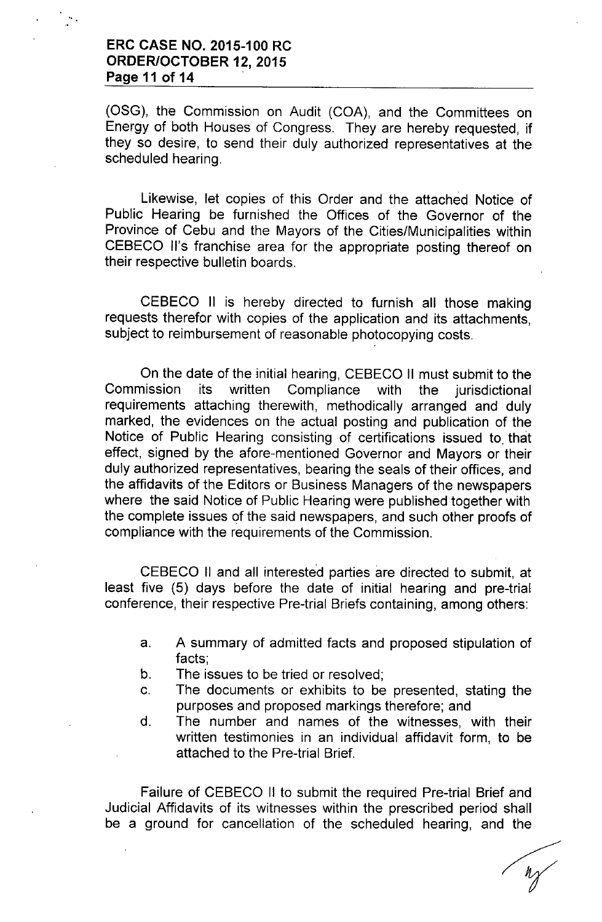### **ERC CASE NO. 2015-100 RC ORDER/OCTOBER** 12, **2015 Page 11 of 14**

(OSG), the Commission on Audit (COA), and the Committees on Energy of both Houses of Congress. They are hereby requested, if they so desire, to send their duly authorized representatives at the scheduled hearing.

Likewise, let copies of this Order and the attached Notice of Public Hearing be furnished the Offices of the Governor of the Province of Cebu and the Mayors of the Cities/Municipalities within CEBECO II's franchise area for the appropriate posting thereof on their respective bulletin boards.

CEBECO II is hereby directed to furnish all those making requests therefor with copies of the application and its attachments, subject to reimbursement of reasonable photocopying costs.

On the date of the initial hearing, CEBECO II must submit to the Commission its written Compliance with the jurisdictional requirements attaching therewith, methodically arranged and duly marked, the evidences on the actual posting and publication of the Notice of Public Hearing consisting of certifications issued to. that effect, signed by the afore-mentioned Governor and Mayors or their duly authorized representatives, bearing the seals of their offices, and the affidavits of the Editors or Business Managers of the newspapers where the said Notice of Public Hearing were published together with the complete issues of the said newspapers, and such other proofs of compliance with the requirements of the Commission.

CEBECO II and all interested parties are directed to submit, at least five (5) days before the date of initial hearing and pre-trial conference, their respective Pre-trial Briefs containing, among others:

- a. A summary of admitted facts and proposed stipulation of facts;
- b. The issues to be tried or resolved;
- c. The documents or exhibits to be presented, stating the purposes and proposed markings therefore; and
- d. The number and names of the witnesses, with their written testimonies in an individual affidavit form, to be attached to the Pre-trial Brief.

Failure of CEBECO II to submit the required Pre-trial Brief and Judicial Affidavits of its witnesses within the prescribed period shall be a ground for cancellation of the scheduled hearing, and the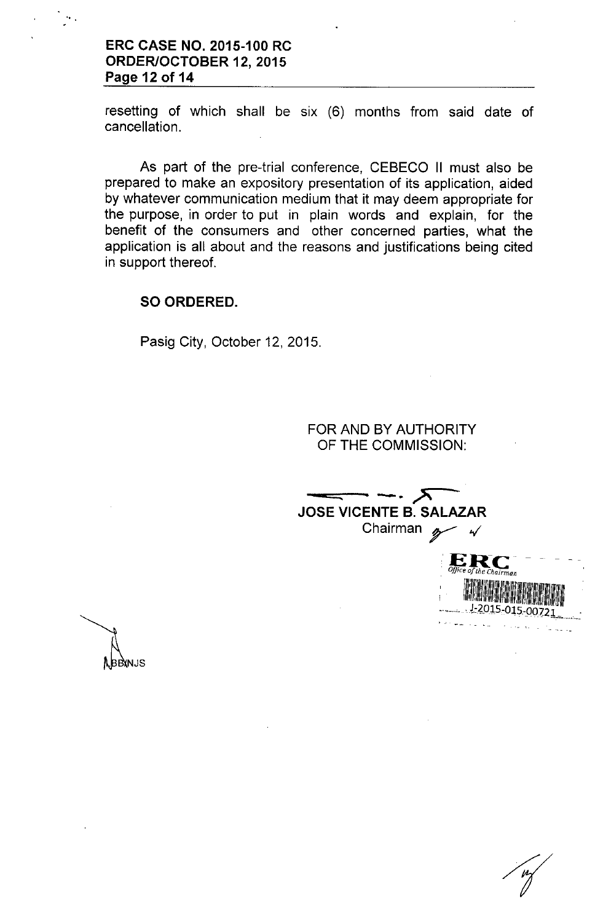### ERC CASE NO. 2015-100 RC ORDER/OCTOBER 12, 2015 Page 12 of 14

resetting of which shall be six (6) months from said date of cancellation.

As part of the pre-trial conference, CEBECO II must also be prepared to make an expository presentation of its application, aided by whatever communication medium that it may deem appropriate for the purpose, in order to put in plain words and explain, for the benefit of the consumers and other concerned parties, what the application is all about and the reasons and justifications being cited in support thereof.

#### SO ORDERED.

Pasig City, October 12, 2015.

FOR AND BY AUTHORITY OF THE COMMISSION:

 $\overline{\phantom{a}}$  -  $\overline{\phantom{a}}$  $\frac{1}{\sqrt{1-\frac{1}{1-\frac{1}{1-\frac{1}{1-\frac{1}{1-\frac{1}{1-\frac{1}{1-\frac{1}{1-\frac{1}{1-\frac{1}{1-\frac{1}{1-\frac{1}{1-\frac{1}{1-\frac{1}{1-\frac{1}{1-\frac{1}{1-\frac{1}{1-\frac{1}{1-\frac{1}{1-\frac{1}{1-\frac{1}{1-\frac{1}{1-\frac{1}{1-\frac{1}{1-\frac{1}{1-\frac{1}{1-\frac{1}{1-\frac{1}{1-\frac{1}{1-\frac{1}{1-\frac{1}{1-\frac{1}{1-\frac{1}{1-\frac{1}{1-\frac{1}{1-\frac{1}{1-\$ JOSE VICENTE B. SALAZAI ENTE B. SALAZAF<br>Chairman *g* 

,'ERC- *, Office o/the Chairman*

*: 1IIIill!I~IIIIII~!llmlllllllm~lm~~IIi~*  $-1.2015 - 015 - 00721$ 

BBXNJS.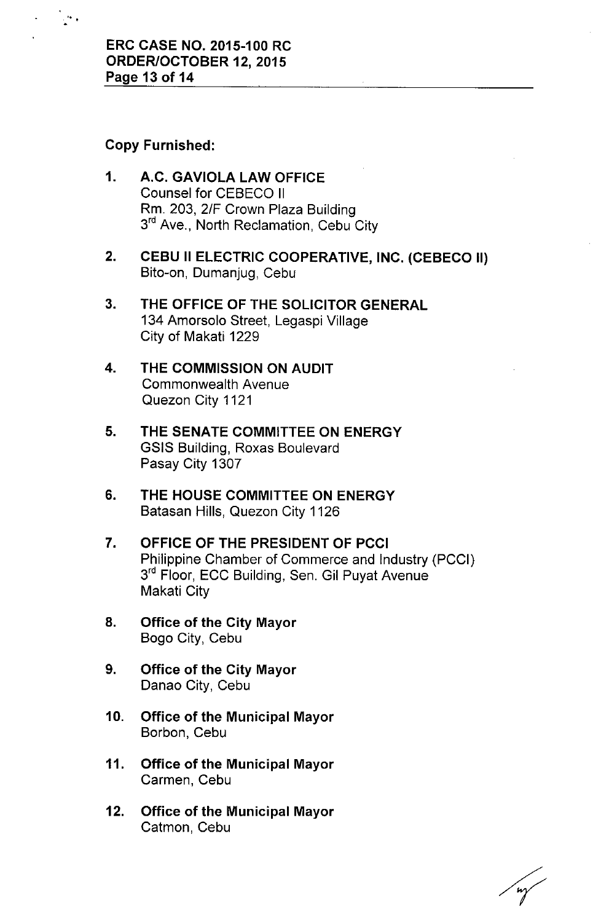### Copy Furnished:

 $\mathbf{r}$ 

- 1. A.C. GAVIOLA LAW OFFICE Counsel for CEBECO II Rm. 203, 2/F Crown Plaza Building 3<sup>rd</sup> Ave., North Reclamation, Cebu City
- 2. CEBU II ELECTRIC COOPERATIVE, INC. (CEBECO II) Bito-on, Dumanjug, Cebu
- 3. THE OFFICE OF THE SOLICITOR GENERAL 134 Amorsolo Street, Legaspi Village City of Makati 1229
- 4. THE COMMISSION ON AUDIT Commonwealth Avenue Quezon City 1121
- 5. THE SENATE COMMITTEE ON ENERGY GSIS Building, Roxas Boulevard Pasay City 1307
- 6. THE HOUSE COMMITTEE ON ENERGY Batasan Hills, Quezon City 1126
- 7. OFFICE OF THE PRESIDENT OF PCCI Philippine Chamber of Commerce and Industry (PCCI) 3<sup>rd</sup> Floor, ECC Building, Sen. Gil Puyat Avenue Makati City
- 8. Office of the City Mayor Bogo City, Cebu
- 9. Office of the City Mayor Danao City, Cebu
- 10. Office of the Municipal Mayor Borbon, Cebu
- 11. Office of the Municipal Mayor Carmen, Cebu
- 12. Office of the Municipal Mayor Catmon, Cebu